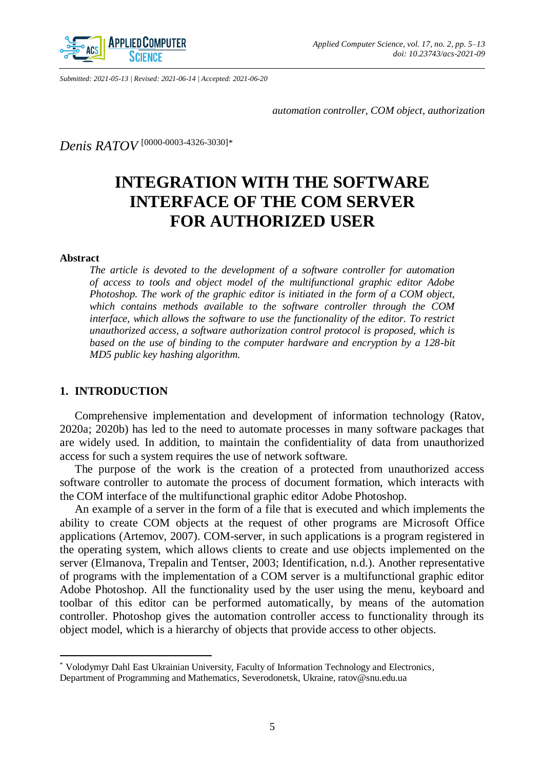

*Submitted: 2021-05-13 | Revised: 2021-06-14 | Accepted: 2021-06-20*

*automation controller, COM object, authorization*

*Denis RATOV* [\[0000-0003-4326-3030\]](http://orcid.org/0000-0003-4326-3030)*\**

# **INTEGRATION WITH THE SOFTWARE INTERFACE OF THE COM SERVER FOR AUTHORIZED USER**

## **Abstract**

 $\overline{a}$ 

*The article is devoted to the development of a software controller for automation of access to tools and object model of the multifunctional graphic editor Adobe Photoshop. The work of the graphic editor is initiated in the form of a COM object, which contains methods available to the software controller through the COM interface, which allows the software to use the functionality of the editor. To restrict unauthorized access, a software authorization control protocol is proposed, which is based on the use of binding to the computer hardware and encryption by a 128-bit MD5 public key hashing algorithm.*

# **1. INTRODUCTION**

Comprehensive implementation and development of information technology (Ratov, 2020a; 2020b) has led to the need to automate processes in many software packages that are widely used. In addition, to maintain the confidentiality of data from unauthorized access for such a system requires the use of network software.

The purpose of the work is the creation of a protected from unauthorized access software controller to automate the process of document formation, which interacts with the COM interface of the multifunctional graphic editor Adobe Photoshop.

An example of a server in the form of a file that is executed and which implements the ability to create COM objects at the request of other programs are Microsoft Office applications (Artemov, 2007). COM-server, in such applications is a program registered in the operating system, which allows clients to create and use objects implemented on the server (Elmanova, Trepalin and Tentser, 2003; Identification, n.d.). Another representative of programs with the implementation of a COM server is a multifunctional graphic editor Adobe Photoshop. All the functionality used by the user using the menu, keyboard and toolbar of this editor can be performed automatically, by means of the automation controller. Photoshop gives the automation controller access to functionality through its object model, which is a hierarchy of objects that provide access to other objects.

<sup>\*</sup> Volodymyr Dahl East Ukrainian University, Faculty of Information Technology and Electronics, Department of Programming and Mathematics, Severodonetsk, Ukraine[, ratov@snu.edu.ua](mailto:ratov@snu.edu.ua)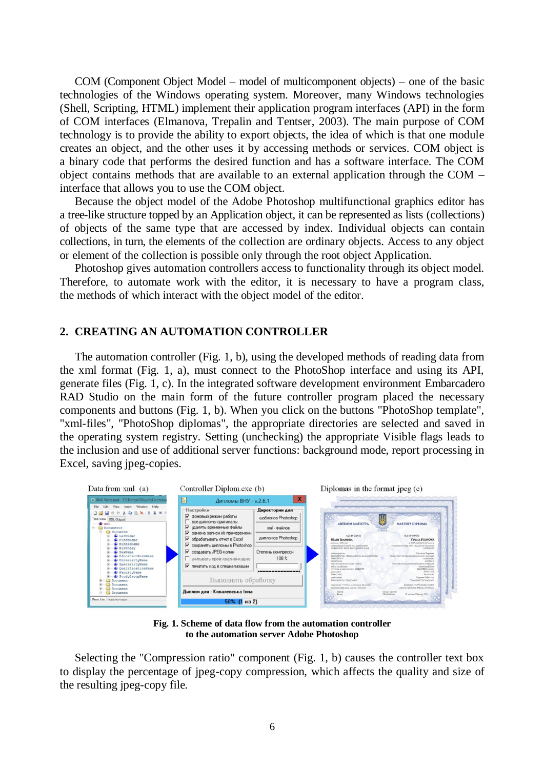COM (Component Object Model – model of multicomponent objects) – one of the basic technologies of the Windows operating system. Moreover, many Windows technologies (Shell, Scripting, HTML) implement their application program interfaces (API) in the form of COM interfaces (Elmanova, Trepalin and Tentser, 2003). The main purpose of COM technology is to provide the ability to export objects, the idea of which is that one module creates an object, and the other uses it by accessing methods or services. COM object is a binary code that performs the desired function and has a software interface. The COM object contains methods that are available to an external application through the COM – interface that allows you to use the COM object.

Because the object model of the Adobe Photoshop multifunctional graphics editor has a tree-like structure topped by an Application object, it can be represented as lists (collections) of objects of the same type that are accessed by index. Individual objects can contain collections, in turn, the elements of the collection are ordinary objects. Access to any object or element of the collection is possible only through the root object Application.

Photoshop gives automation controllers access to functionality through its object model. Therefore, to automate work with the editor, it is necessary to have a program class, the methods of which interact with the object model of the editor.

# **2. CREATING AN AUTOMATION CONTROLLER**

The automation controller (Fig. 1, b), using the developed methods of reading data from the xml format (Fig. 1, a), must connect to the PhotoShop interface and using its API, generate files (Fig. 1, c). In the integrated software development environment Embarcadero RAD Studio on the main form of the future controller program placed the necessary components and buttons (Fig. 1, b). When you click on the buttons "PhotoShop template", "xml-files", "PhotoShop diplomas", the appropriate directories are selected and saved in the operating system registry. Setting (unchecking) the appropriate Visible flags leads to the inclusion and use of additional server functions: background mode, report processing in Excel, saving jpeg-copies.



**Fig. 1. Scheme of data flow from the automation controller to the automation server Adobe Photoshop**

Selecting the "Compression ratio" component (Fig. 1, b) causes the controller text box to display the percentage of jpeg-copy compression, which affects the quality and size of the resulting jpeg-copy file.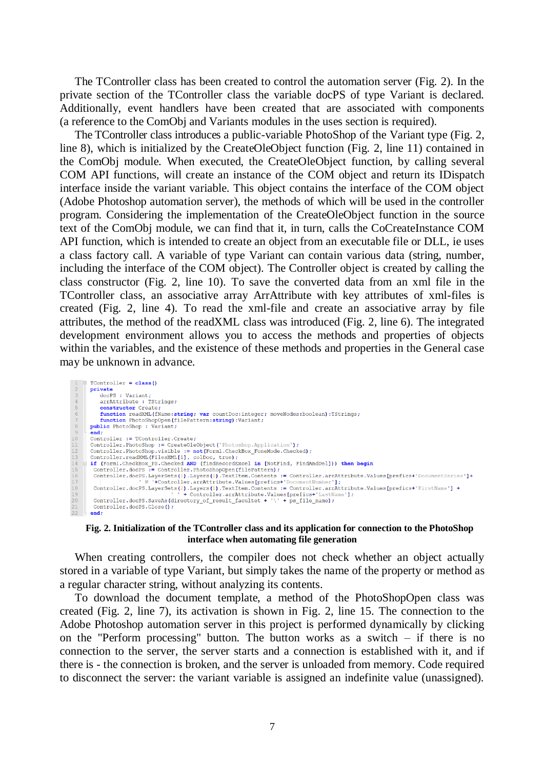The TController class has been created to control the automation server (Fig. 2). In the private section of the TController class the variable docPS of type Variant is declared. Additionally, event handlers have been created that are associated with components (a reference to the ComObj and Variants modules in the uses section is required).

The TController class introduces a public-variable PhotoShop of the Variant type (Fig. 2, line 8), which is initialized by the CreateOleObject function (Fig. 2, line 11) contained in the ComObj module. When executed, the CreateOleObject function, by calling several COM API functions, will create an instance of the COM object and return its IDispatch interface inside the variant variable. This object contains the interface of the COM object (Adobe Photoshop automation server), the methods of which will be used in the controller program. Considering the implementation of the CreateOleObject function in the source text of the ComObj module, we can find that it, in turn, calls the CoCreateInstance COM API function, which is intended to create an object from an executable file or DLL, ie uses a class factory call. A variable of type Variant can contain various data (string, number, including the interface of the COM object). The Controller object is created by calling the class constructor (Fig. 2, line 10). To save the converted data from an xml file in the TController class, an associative array ArrAttribute with key attributes of xml-files is created (Fig. 2, line 4). To read the xml-file and create an associative array by file attributes, the method of the readXML class was introduced (Fig. 2, line 6). The integrated development environment allows you to access the methods and properties of objects within the variables, and the existence of these methods and properties in the General case may be unknown in advance.

TController = class() private<br>
docPS : Variant; arrAttribute : TStrings;<br>constructor Create; constructor create;<br>
function readXML(fName:string; var countDoc:integer; moveNodes:boolean):TStrings;<br>
function PhotoShopOpen(filePattern:string):Variant;<br>
public PhotoShop : Variant; 6 end;<br>Controller := TController.Create; Controller := TController.Create)<br>Controller :PhotoShop := CreateOleObject('Photoshop.Application');<br>Controller.PhotoShop.visible := not(Form1.Checkex\_FoneMode.Checked);<br>Controller.PhotoShop.visible := not(Form1.Cteck)<br>Con  $11$  $\frac{1}{14}$ <br> $\frac{1}{15}$  $\frac{16}{17}$ Controller.docPS.LayerSEts(2).Layers(1).TextItem.Contents: == Controller.arxAttribute.Values[prefics+'FirstName'] +<br>
1 + Controller.docPS.SayeAs(directory\_of\_result\_facultet + '\' + ps\_file\_name);<br>
2 - Controller.docPSS.Sa 18 Controller.docPS.Close();  $end;$ 

#### **Fig. 2. Initialization of the TController class and its application for connection to the PhotoShop interface when automating file generation**

When creating controllers, the compiler does not check whether an object actually stored in a variable of type Variant, but simply takes the name of the property or method as a regular character string, without analyzing its contents.

To download the document template, a method of the PhotoShopOpen class was created (Fig. 2, line 7), its activation is shown in Fig. 2, line 15. The connection to the Adobe Photoshop automation server in this project is performed dynamically by clicking on the "Perform processing" button. The button works as a switch – if there is no connection to the server, the server starts and a connection is established with it, and if there is - the connection is broken, and the server is unloaded from memory. Code required to disconnect the server: the variant variable is assigned an indefinite value (unassigned).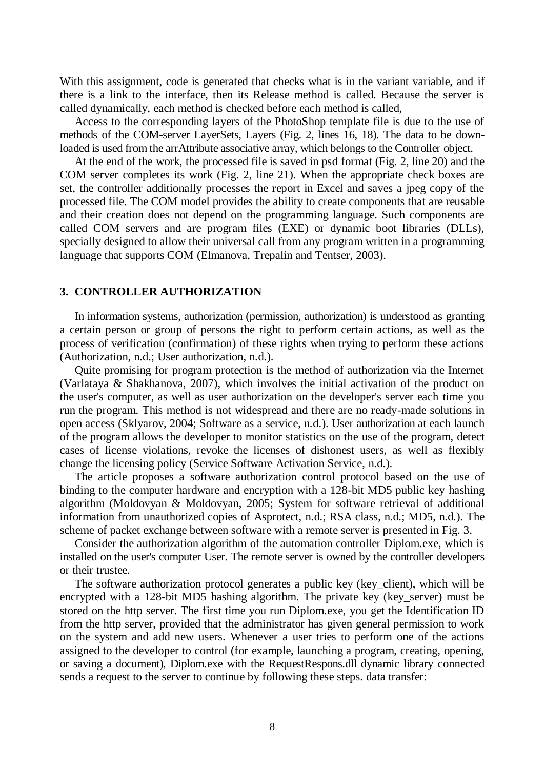With this assignment, code is generated that checks what is in the variant variable, and if there is a link to the interface, then its Release method is called. Because the server is called dynamically, each method is checked before each method is called,

Access to the corresponding layers of the PhotoShop template file is due to the use of methods of the COM-server LayerSets, Layers (Fig. 2, lines 16, 18). The data to be downloaded is used from the arrAttribute associative array, which belongs to the Controller object.

At the end of the work, the processed file is saved in psd format (Fig. 2, line 20) and the COM server completes its work (Fig. 2, line 21). When the appropriate check boxes are set, the controller additionally processes the report in Excel and saves a jpeg copy of the processed file. The COM model provides the ability to create components that are reusable and their creation does not depend on the programming language. Such components are called COM servers and are program files (EXE) or dynamic boot libraries (DLLs), specially designed to allow their universal call from any program written in a programming language that supports COM (Elmanova, Trepalin and Tentser, 2003).

# **3. CONTROLLER AUTHORIZATION**

In information systems, authorization (permission, authorization) is understood as granting a certain person or group of persons the right to perform certain actions, as well as the process of verification (confirmation) of these rights when trying to perform these actions (Authorization, n.d.; User authorization, n.d.).

Quite promising for program protection is the method of authorization via the Internet (Varlataya & Shakhanova, 2007), which involves the initial activation of the product on the user's computer, as well as user authorization on the developer's server each time you run the program. This method is not widespread and there are no ready-made solutions in open access (Sklyarov, 2004; Software as a service, n.d.). User authorization at each launch of the program allows the developer to monitor statistics on the use of the program, detect cases of license violations, revoke the licenses of dishonest users, as well as flexibly change the licensing policy (Service Software Activation Service, n.d.).

The article proposes a software authorization control protocol based on the use of binding to the computer hardware and encryption with a 128-bit MD5 public key hashing algorithm (Moldovyan & Moldovyan, 2005; System for software retrieval of additional information from unauthorized copies of Asprotect, n.d.; RSA class, n.d.; MD5, n.d.). The scheme of packet exchange between software with a remote server is presented in Fig. 3.

Consider the authorization algorithm of the automation controller Diplom.exe, which is installed on the user's computer User. The remote server is owned by the controller developers or their trustee.

The software authorization protocol generates a public key (key\_client), which will be encrypted with a 128-bit MD5 hashing algorithm. The private key (key\_server) must be stored on the http server. The first time you run Diplom.exe, you get the Identification ID from the http server, provided that the administrator has given general permission to work on the system and add new users. Whenever a user tries to perform one of the actions assigned to the developer to control (for example, launching a program, creating, opening, or saving a document), Diplom.exe with the RequestRespons.dll dynamic library connected sends a request to the server to continue by following these steps. data transfer: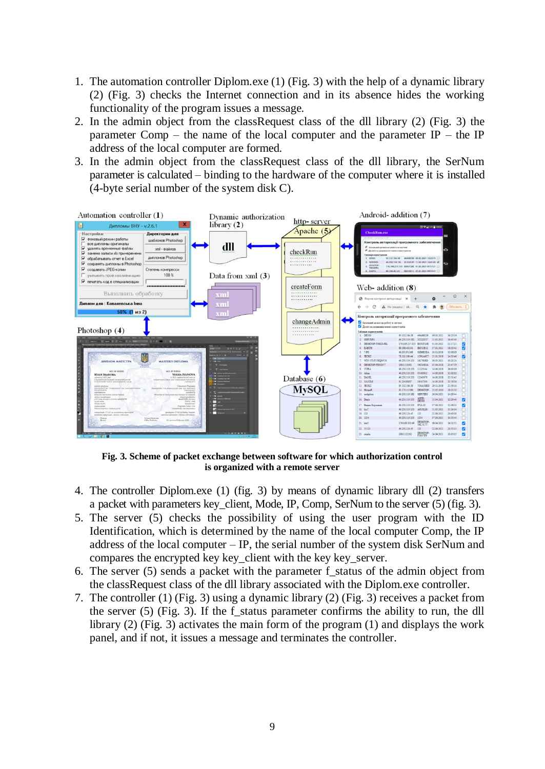- 1. The automation controller Diplom.exe (1) (Fig. 3) with the help of a dynamic library (2) (Fig. 3) checks the Internet connection and in its absence hides the working functionality of the program issues a message.
- 2. In the admin object from the classRequest class of the dll library (2) (Fig. 3) the parameter Comp – the name of the local computer and the parameter  $IP$  – the IP address of the local computer are formed.
- 3. In the admin object from the classRequest class of the dll library, the SerNum parameter is calculated – binding to the hardware of the computer where it is installed (4-byte serial number of the system disk C).



**Fig. 3. Scheme of packet exchange between software for which authorization control is organized with a remote server**

- 4. The controller Diplom.exe (1) (fig. 3) by means of dynamic library dll (2) transfers a packet with parameters key client, Mode, IP, Comp, SerNum to the server (5) (fig. 3).
- 5. The server (5) checks the possibility of using the user program with the ID Identification, which is determined by the name of the local computer Comp, the IP address of the local computer – IP, the serial number of the system disk SerNum and compares the encrypted key key\_client with the key key\_server.
- 6. The server  $(5)$  sends a packet with the parameter f\_status of the admin object from the classRequest class of the dll library associated with the Diplom.exe controller.
- 7. The controller (1) (Fig. 3) using a dynamic library (2) (Fig. 3) receives a packet from the server (5) (Fig. 3). If the f\_status parameter confirms the ability to run, the dll library (2) (Fig. 3) activates the main form of the program (1) and displays the work panel, and if not, it issues a message and terminates the controller.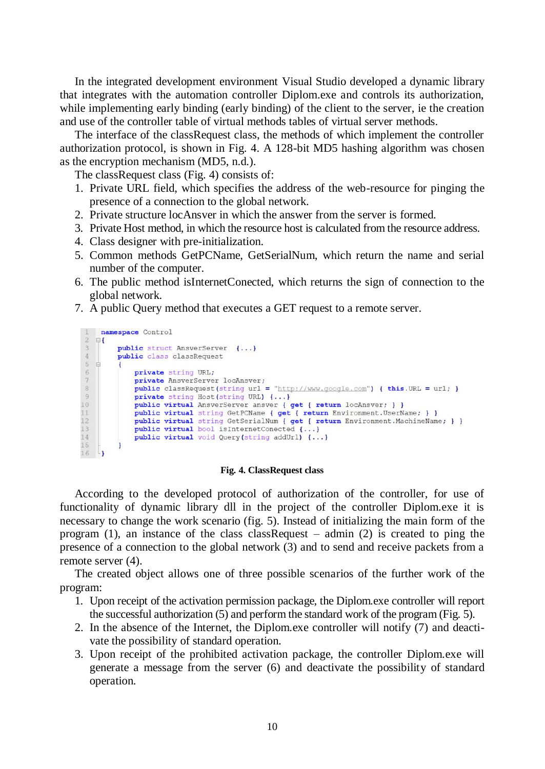In the integrated development environment Visual Studio developed a dynamic library that integrates with the automation controller Diplom.exe and controls its authorization, while implementing early binding (early binding) of the client to the server, ie the creation and use of the controller table of virtual methods tables of virtual server methods.

The interface of the classRequest class, the methods of which implement the controller authorization protocol, is shown in Fig. 4. A 128-bit MD5 hashing algorithm was chosen as the encryption mechanism (MD5, n.d.).

The classRequest class (Fig. 4) consists of:

- 1. Private URL field, which specifies the address of the web-resource for pinging the presence of a connection to the global network.
- 2. Private structure locAnsver in which the answer from the server is formed.
- 3. Private Host method, in which the resource host is calculated from the resource address.
- 4. Class designer with pre-initialization.
- 5. Common methods GetPCName, GetSerialNum, which return the name and serial number of the computer.
- 6. The public method isInternetConected, which returns the sign of connection to the global network.
- 7. A public Query method that executes a GET request to a remote server.

```
1 namespace Control
2 甲
\mathbf{3}public struct AnsverServer {...}
\sqrt{4}public class classRequest
\sqrt{5}\Rightarrow\left\{ \right.\epsilonprivate string URL;
\overline{\tau}private AnsverServer locAnsver;
              public classRequest(string url = "http://www.google.com") { this.URL = url; }
^{\rm 8}\, \, \,private string Host (string URL) {...}
10<sub>1</sub>public virtual AnsverServer ansver { get { return locAnsver; } }
              public virtual string GetPCName { get { return Environment. UserName; } }
\frac{1}{1}12<sup>°</sup>public virtual string GetSerialNum { get { return Environment. MachineName; } }
              public virtual bool isInternetConected {...}
13
14
              public virtual void Query(string addUrl) {...}
15
16 -
```
### **Fig. 4. ClassRequest class**

According to the developed protocol of authorization of the controller, for use of functionality of dynamic library dll in the project of the controller Diplom.exe it is necessary to change the work scenario (fig. 5). Instead of initializing the main form of the program (1), an instance of the class classRequest – admin (2) is created to ping the presence of a connection to the global network (3) and to send and receive packets from a remote server (4).

The created object allows one of three possible scenarios of the further work of the program:

- 1. Upon receipt of the activation permission package, the Diplom.exe controller will report the successful authorization (5) and perform the standard work of the program (Fig. 5).
- 2. In the absence of the Internet, the Diplom.exe controller will notify (7) and deactivate the possibility of standard operation.
- 3. Upon receipt of the prohibited activation package, the controller Diplom.exe will generate a message from the server (6) and deactivate the possibility of standard operation.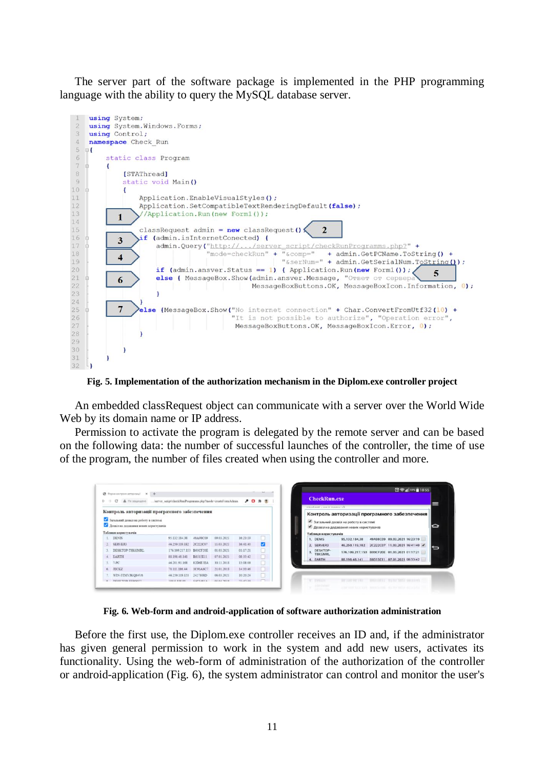The server part of the software package is implemented in the PHP programming language with the ability to query the MySQL database server.



**Fig. 5. Implementation of the authorization mechanism in the Diplom.exe controller project**

An embedded classRequest object can communicate with a server over the World Wide Web by its domain name or IP address.

Permission to activate the program is delegated by the remote server and can be based on the following data: the number of successful launches of the controller, the time of use of the program, the number of files created when using the controller and more.

| <b>@</b> Форна контроля авторномы?<br>$x +$                                   |                                                          |            |                |          |                          |                                                  |
|-------------------------------------------------------------------------------|----------------------------------------------------------|------------|----------------|----------|--------------------------|--------------------------------------------------|
| A He answered<br>G.                                                           | /server_script/checkRmProgramms.php?mode=createFormAdmin |            |                | $90 * n$ | <b>CheckRun.exe</b>      |                                                  |
|                                                                               | Контроль авторизації програмного забезпечення            |            |                |          | etistische communication |                                                  |
|                                                                               |                                                          |            |                |          |                          | Контроль авторизації програмного забезпечення    |
| Загальний дозвіл на роботу в системі<br>Позвіл на додавним нових користуанчів |                                                          |            |                |          |                          | • Загальний дозвіл на роботу в системі           |
|                                                                               |                                                          |            |                |          |                          | <b>М.</b> Дозвіл на додавання нових користувачів |
| Габлиця користувачія                                                          |                                                          |            |                |          | Таблиця користувачів     |                                                  |
| <b>DENIS</b>                                                                  | 05.132.184.38<br>49A98C09                                | 09.03.2021 | 16:23:19       |          | 1. DENIS                 | 49A98C09 09.03.2021 16:23:19<br>95.132.184.38    |
| SERVER3                                                                       | 2C222C07<br>46.250.119.182                               | 11.03.2021 | 16:41:40       | v        | 2. SERVER3               | 2C222C07 11.03.2021 16:41:40 √<br>46,250,119,182 |
| DESKTOP-TSKOMRI                                                               | 176.109.217.153 B03CF20E                                 | 01.03.2021 | $01:17-21$     |          | DESKTOP-<br>3. TBKGMRL   | 176.109.217.153<br>B03CF20E 01.03.2021 01:17:21  |
| EARTH                                                                         | 88.198.48.141<br>B8515E11                                | 07.01.2021 | 08:33:42       |          | 4. EARTH                 | B8515E11 07.01.2021 08:33:42<br>88.198.48.141    |
|                                                                               | <b>SND6ESEA</b><br>46 201 91 168                         | 30.11.2018 | 13:08:09       |          |                          |                                                  |
| 5. 7-PC                                                                       |                                                          | 21.01.2018 | 14:33:46       |          |                          |                                                  |
| JECK2                                                                         | 1C91A6C7<br>78.111.186.44                                |            |                |          |                          |                                                  |
| WIN-STMVJKQ84V6                                                               | 46.250.119.153<br>2427808D                               | 06.03.2021 | $10 - 20 - 24$ |          |                          |                                                  |

**Fig. 6. Web-form and android-application of software authorization administration**

Before the first use, the Diplom.exe controller receives an ID and, if the administrator has given general permission to work in the system and add new users, activates its functionality. Using the web-form of administration of the authorization of the controller or android-application (Fig. 6), the system administrator can control and monitor the user's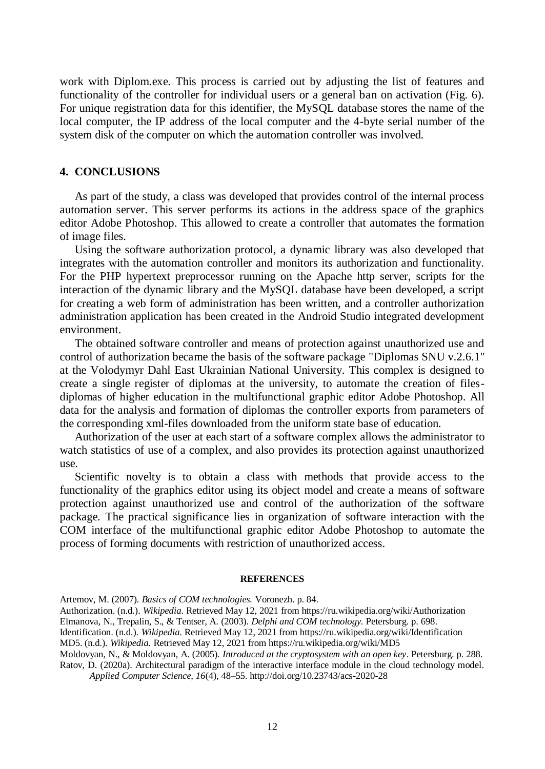work with Diplom.exe. This process is carried out by adjusting the list of features and functionality of the controller for individual users or a general ban on activation (Fig. 6). For unique registration data for this identifier, the MySQL database stores the name of the local computer, the IP address of the local computer and the 4-byte serial number of the system disk of the computer on which the automation controller was involved.

## **4. CONCLUSIONS**

As part of the study, a class was developed that provides control of the internal process automation server. This server performs its actions in the address space of the graphics editor Adobe Photoshop. This allowed to create a controller that automates the formation of image files.

Using the software authorization protocol, a dynamic library was also developed that integrates with the automation controller and monitors its authorization and functionality. For the PHP hypertext preprocessor running on the Apache http server, scripts for the interaction of the dynamic library and the MySQL database have been developed, a script for creating a web form of administration has been written, and a controller authorization administration application has been created in the Android Studio integrated development environment.

The obtained software controller and means of protection against unauthorized use and control of authorization became the basis of the software package "Diplomas SNU v.2.6.1" at the Volodymyr Dahl East Ukrainian National University. This complex is designed to create a single register of diplomas at the university, to automate the creation of filesdiplomas of higher education in the multifunctional graphic editor Adobe Photoshop. All data for the analysis and formation of diplomas the controller exports from parameters of the corresponding xml-files downloaded from the uniform state base of education.

Authorization of the user at each start of a software complex allows the administrator to watch statistics of use of a complex, and also provides its protection against unauthorized use.

Scientific novelty is to obtain a class with methods that provide access to the functionality of the graphics editor using its object model and create a means of software protection against unauthorized use and control of the authorization of the software package. The practical significance lies in organization of software interaction with the COM interface of the multifunctional graphic editor Adobe Photoshop to automate the process of forming documents with restriction of unauthorized access.

#### **REFERENCES**

Artemov, M. (2007). *Basics of COM technologies.* Voronezh. p. 84.

Authorization. (n.d.). *Wikipedia*. Retrieved May 12, 2021 from https://ru.wikipedia.org/wiki/Authorization

Identification. (n.d.). *Wikipedia*. Retrieved May 12, 2021 from https://ru.wikipedia.org/wiki/Identification MD5. (n.d.). *Wikipedia*. Retrieved May 12, 2021 from https://ru.wikipedia.org/wiki/MD5

Moldovyan, N., & Moldovyan, A. (2005). *Introduced at the cryptosystem with an open key*. Petersburg. p. 288. Ratov, D. (2020a). Architectural paradigm of the interactive interface module in the cloud technology model. *Applied Computer Science, 16*(4), 48–55. http://doi.org/10.23743/acs-2020-28

Elmanova, N., Trepalin, S., & Tentser, A. (2003). *Delphi and COM technology.* Petersburg. p. 698.